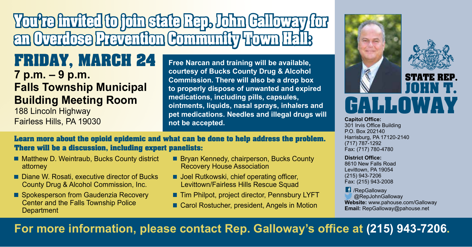# You're invited to join state Rep. John Galloway for an Overdose Prevention Community Town Hall:

### FRIDAY, MARCH 24 **7 p.m. – 9 p.m. Falls Township Municipal Building Meeting Room**

188 Lincoln Highway Fairless Hills, PA 19030

**Free Narcan and training will be available, courtesy of Bucks County Drug & Alcohol Commission. There will also be a drop box to properly dispose of unwanted and expired medications, including pills, capsules, ointments, liquids, nasal sprays, inhalers and pet medications. Needles and illegal drugs will not be accepted.** 



**Capitol Office:**  301 Irvis Office Building P.O. Box 202140 Harrisburg, PA 17120-2140 (717) 787-1292 Fax: (717) 780-4780

#### **District Office:**

8610 New Falls Road Levittown, PA 19054 (215) 943-7206 Fax: (215) 943-2008

**C** /RepGalloway @RepJohnGalloway **Website:** www.pahouse.com/Galloway **Email:** RepGalloway@pahouse.net

Learn more about the opioid epidemic and what can be done to help address the problem. There will be a discussion, including expert panelists:

- Matthew D. Weintraub, Bucks County district attorney
- Diane W. Rosati, executive director of Bucks County Drug & Alcohol Commission, Inc.
- Spokesperson from Gaudenzia Recovery Center and the Falls Township Police **Department**
- Bryan Kennedy, chairperson, Bucks County Recovery House Association
- **Joel Rutkowski, chief operating officer,** Levittown/Fairless Hills Rescue Squad
- Tim Philpot, project director, Pennsbury LYFT
- Carol Rostucher, president, Angels in Motion

**For more information, please contact Rep. Galloway's office at (215) 943-7206.**